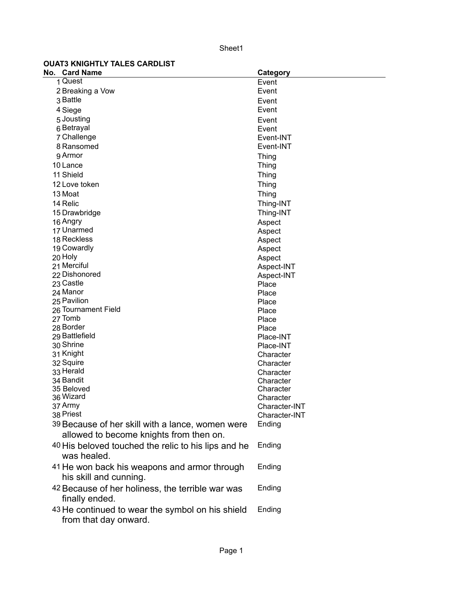Sheet1

## **OUAT3 KNIGHTLY TALES CARDLIST**

| No. Card Name                                       | Category               |
|-----------------------------------------------------|------------------------|
| 1 Quest                                             | Event                  |
| 2 Breaking a Vow                                    | Event                  |
| 3 Battle                                            | Event                  |
| 4 Siege                                             | Event                  |
| 5 Jousting                                          | Event                  |
| 6 Betrayal                                          | Event                  |
| 7 Challenge                                         | Event-INT              |
| 8 Ransomed                                          | Event-INT              |
| 9 Armor                                             | <b>Thing</b>           |
| 10 Lance                                            | <b>Thing</b>           |
| 11 Shield                                           | Thing                  |
| 12 Love token                                       | Thing                  |
| 13 Moat                                             | Thing                  |
| 14 Relic                                            | Thing-INT              |
| 15 Drawbridge                                       | Thing-INT              |
| 16 Angry                                            | Aspect                 |
| 17 Unarmed                                          | Aspect                 |
| 18 Reckless                                         | Aspect                 |
| 19 Cowardly                                         | Aspect                 |
| 20 Holy                                             | Aspect                 |
| 21 Merciful                                         | Aspect-INT             |
| 22 Dishonored                                       | Aspect-INT             |
| 23 Castle                                           | Place                  |
| 24 Manor                                            | Place                  |
| 25 Pavilion                                         | Place                  |
| 26 Tournament Field                                 | Place                  |
| 27 Tomb                                             | Place                  |
| 28 Border                                           | Place                  |
| 29 Battlefield                                      | Place-INT              |
| 30 Shrine                                           | Place-INT              |
| 31 Knight                                           | Character              |
| 32 Squire<br>33 Herald                              | Character              |
| 34 Bandit                                           | Character<br>Character |
| 35 Beloved                                          | Character              |
| 36 Wizard                                           | Character              |
| 37 Army                                             | Character-INT          |
| 38 Priest                                           | Character-INT          |
| 39 Because of her skill with a lance, women were    | Ending                 |
| allowed to become knights from then on.             |                        |
| 40 His beloved touched the relic to his lips and he | Ending                 |
| was healed.                                         |                        |
| 41 He won back his weapons and armor through        | Ending                 |
| his skill and cunning.                              |                        |
| 42 Because of her holiness, the terrible war was    | Ending                 |
| finally ended.                                      |                        |
| 43 He continued to wear the symbol on his shield    | Ending                 |
| from that day onward.                               |                        |